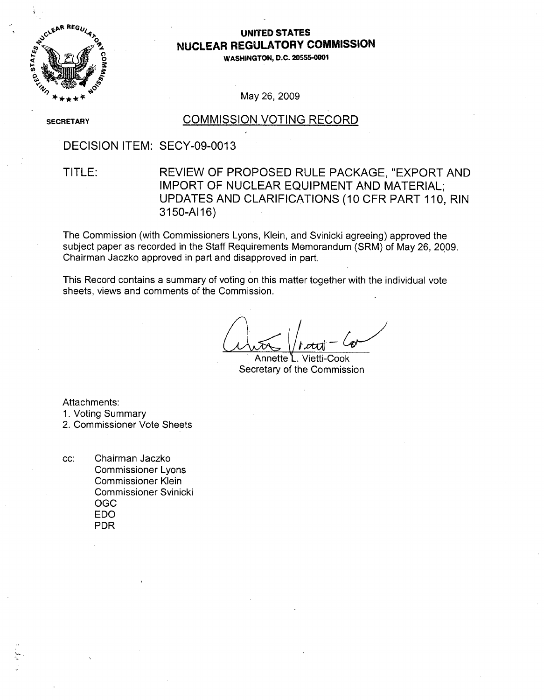

### **UNITED STATES NUCLEAR** REGULATORY **COMMISSION**

**WASHINGTON, D.C. 20555-0001**

#### May 26, 2009

**SECRETARY** 

#### COMMISSION VOTING RECORD

DECISION ITEM: SECY-09-0013

## TITLE: REVIEW OF PROPOSED RULE PACKAGE, "EXPORT AND IMPORT OF NUCLEAR EQUIPMENT AND MATERIAL; UPDATES AND CLARIFICATIONS (10 CFR PART 110, RIN 3150-AI16)

The Commission (with Commissioners Lyons, Klein, and Svinicki agreeing) approved the subject paper as recorded in the Staff Requirements Memorandum (SRM) of May 26, 2Q09. Chairman Jaczko approved in part and disapproved in part.

This Record contains a summary of voting on this matter together with the individual vote sheets, views and comments of the Commission.

Annette L. Vietti-Cook Secretary of the Commission

Attachments:

1. Voting Summary

2. Commissioner Vote Sheets

**cc:** Chairman Jaczko Commissioner Lyons Commissioner Klein Commissioner Svinicki OGC EDO PDR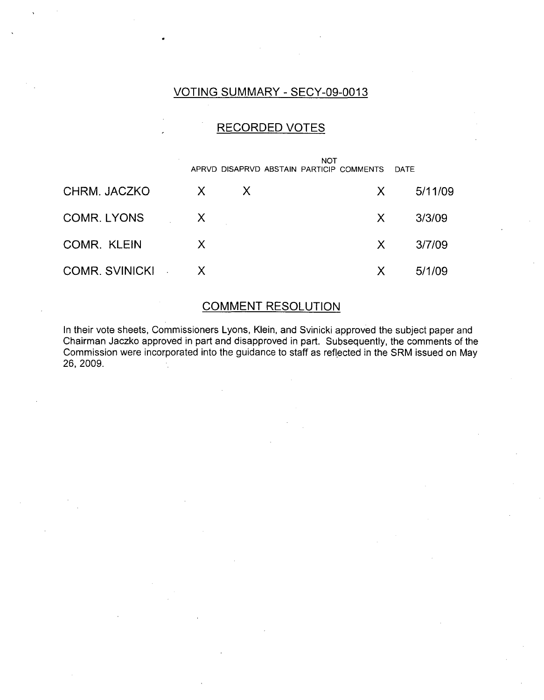## VOTING SUMMARY - SECY-09-0013

### RECORDED VOTES

|                  |              |   | <b>NOT</b><br>APRVD DISAPRVD ABSTAIN PARTICIP COMMENTS DATE |         |
|------------------|--------------|---|-------------------------------------------------------------|---------|
| CHRM. JACZKO     | $\mathsf{X}$ | X | X.                                                          | 5/11/09 |
| COMR. LYONS X    |              |   | X —                                                         | 3/3/09  |
| COMR. KLEIN      | X            |   | $X -$                                                       | 3/7/09  |
| COMR. SVINICKI X |              |   | X.                                                          | 5/1/09  |

## COMMENT RESOLUTION

In their vote sheets, Commissioners Lyons, Klein, and Svinicki approved the subject paper and Chairman Jaczko approved in part and disapproved in part. Subsequently, the comments of the Commission were incorporated into the guidance to staff as reflected in the SRM issued on May 26, 2009.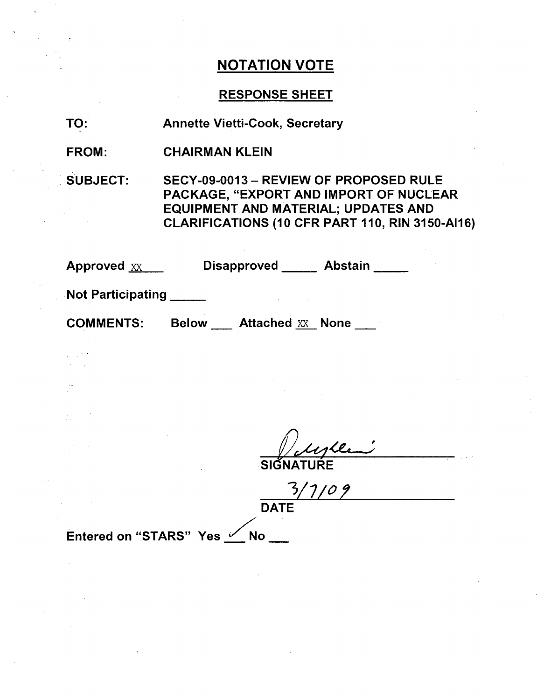## RESPONSE SHEET

| TO: | <b>Annette Vietti-Cook, Secretary</b> |  |
|-----|---------------------------------------|--|
|     |                                       |  |

FROM: CHAIRMAN KLEIN

SUBJECT: SECY-09-0013 - REVIEW OF PROPOSED RULE PACKAGE, "EXPORT AND IMPORT OF NUCLEAR EQUIPMENT AND MATERIAL; UPDATES AND CLARIFICATIONS (10 CFR PART 110, RIN 3150-Al16)

| Approved XX              | <b>Abstain</b><br><b>Disapproved</b>    |
|--------------------------|-----------------------------------------|
| <b>Not Participating</b> |                                         |
| <b>COMMENTS:</b>         | <b>Attached XX None</b><br><b>Below</b> |
|                          |                                         |

**SIGN** 

 $1109$ 3, **DATE** 

Entered on "STARS" Yes Mo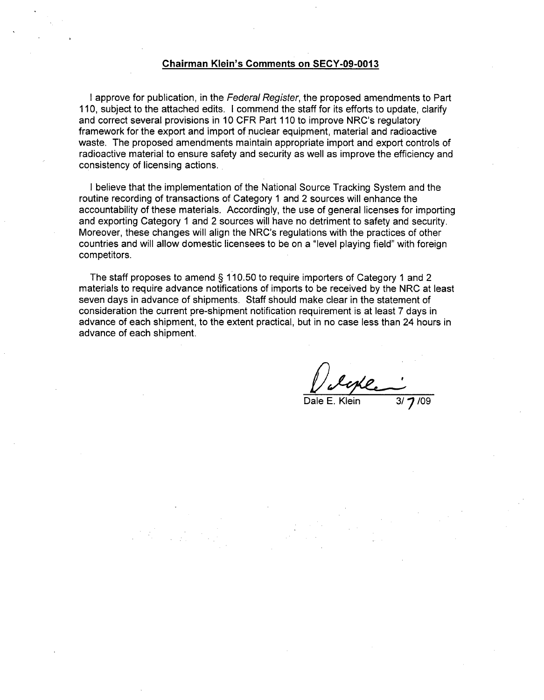#### Chairman Klein's Comments on **SECY-09-0013**

I approve for publication, in the *Federal Register,* the proposed amendments to Part 110, subject to the attached edits. I commend the staff for its efforts to update, clarify and correct several provisions in 10 CFR Part 110 to improve NRC's regulatory framework for the export and import of nuclear equipment, material and radioactive waste. The proposed amendments maintain appropriate import and export controls of radioactive material to ensure safety and security as well as improve the efficiency and consistency of licensing actions.

I believe that the implementation of the National Source Tracking System and the routine recording of transactions of Category 1 and 2 sources will enhance the accountability of these materials. Accordingly, the use of general licenses for importing and exporting Category **1** and 2 sources will have no detriment to safety and security. Moreover, these changes will align the NRC's regulations with the practices of other countries and will allow domestic licensees to be on a "level playing field" with foreign competitors.

The staff proposes to amend § 110.50 to require importers of Category 1 and 2 materials to require advance notifications of imports to be received by the NRC at least seven days in advance of shipments. Staff should make clear in the statement of consideration the current pre-shipment notification requirement is at least 7 days in advance of each shipment, to the extent practical, but in no case less than 24 hours in advance of each shipment.

Hle

Dale E. Klein 3/7/09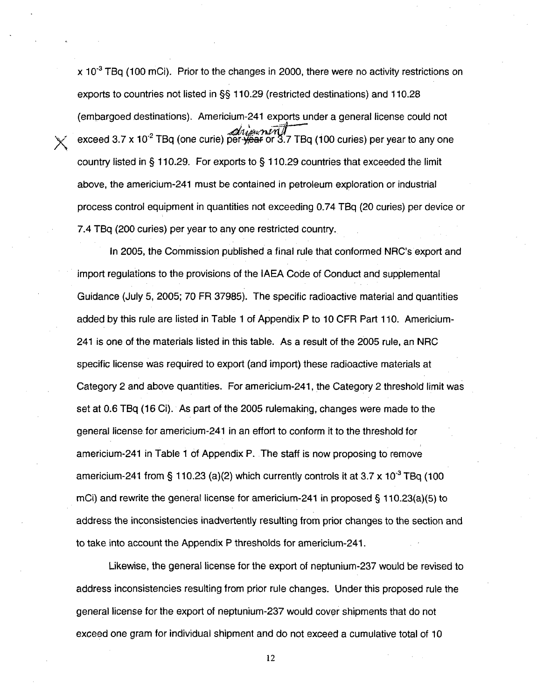x **103** TBq (100 mCi). Prior to the changes in 2000, there were no activity restrictions on exports to countries not listed in §§ 110.29 (restricted destinations) and 110.28 (embargoed destinations). Americium-241 exports under a general license could not exceed 3.7 x 10.2 TBq (one curie) pe or **3.7** TBq (100 curies) per year to any one country listed in § 110.29. For exports to § 110.29 countries that exceeded the limit above, the americium-241 must be contained in petroleum exploration or industrial process control equipment in quantities not exceeding 0.74 TBq (20 curies) per device or 7.4 TBq (200 curies) per year to any one restricted country.

In 2005, the Commission published a final rule that conformed NRC's export and import regulations to the provisions of the IAEA Code of Conduct and supplemental Guidance (July 5, 2005; 70 FR 37985). The specific radioactive material and quantities added by this rule are listed in Table 1 of Appendix P to 10 CFR Part 110. Americium-241 is one of the materials listed in this table. As a result of the 2005 rule, an NRC specific license was required to export (and import) these radioactive materials at Category 2 and above quantities. For americium-241, the Category 2 threshold limit was set at 0.6 TBq (16 Ci). As part of the 2005 rulemaking, changes were made to the general license. for americium-241 in an effort to conform it to the threshold for americium-241 in Table 1 of Appendix P. The staff is now proposing to remove americium-241 from § 110.23 (a)(2) which currently controls it at 3.7 x **10-3** TBq (100 mCi) and rewrite the general license for americium-241 in proposed § 110.23(a)(5) to address the inconsistencies inadvertently resulting from prior changes to the section and to take into account the Appendix P thresholds for americium-241.

Likewise, the general license for the export of neptunium-237 would be revised to address inconsistencies resulting from prior rule changes. Under this proposed rule the general license for the export of neptunium-237 would cover shipments that do not exceed one gram for individual shipment and do not exceed a cumulative total of 10

12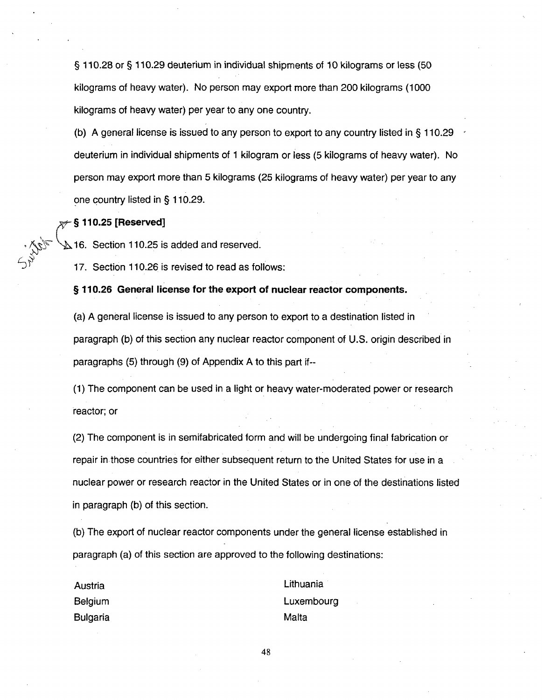§ 110.28 or § 110.29 deuterium in individual shipments of 10 kilograms or less (50 kilograms of heavy water). No person may export more than 200 kilograms (1000 kilograms of heavy water) per year to any one country.

(b) A general license is issued to any person to export to any country listed in § 110.29 deuterium in individual shipments of 1 kilogram or less (5 kilograms of heavy water). No person may export more than 5 kilograms (25 kilograms of heavy water) per year to any one country listed in § 110.29.

#### **§ 110.25** [Reserved]

 $\Delta$ 16. Section 110.25 is added and reserved.

17. Section 110.26 is revised to read as follows:

§ **110.26** General license for the export of nuclear reactor components.

(a) A general license is issued to any person to export to a destination listed in paragraph (b) of this section any nuclear reactor component of U.S. origin described in paragraphs (5) through (9) of Appendix A to this part if--

(1) The component can be used in a light or heavy water-moderated power or research reactor; or

(2) The component is in semifabricated form and will be undergoing final fabrication or repair in those countries for either subsequent return to the United States for use in a nuclear power or research reactor in the United States or in one of the destinations listed in paragraph (b) of this section.

(b) The export of nuclear reactor components under the general license established in paragraph (a) of this section are approved to the following destinations:

Bulgaria **Malta** 

Austria Lithuania Belgium Luxembourg

48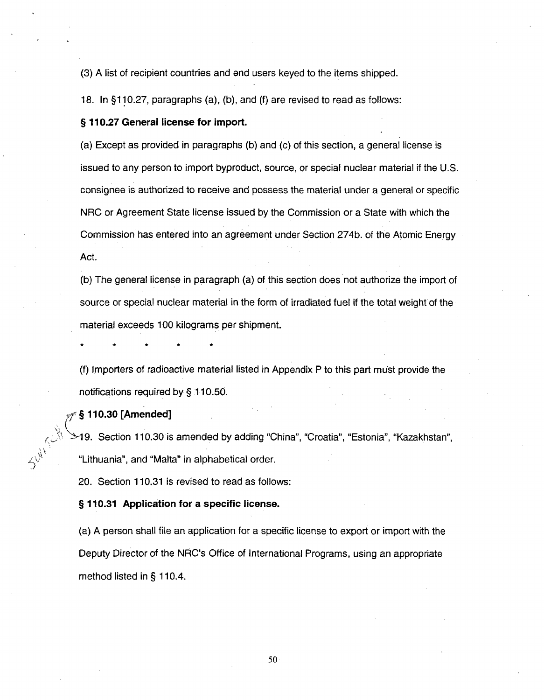(3) A list of recipient countries and end users keyed to the items shipped.

18. In §110.27, paragraphs (a), (b), and (f) are revised to read as follows:

#### § 110.27 General license for import.

(a) Except as provided in paragraphs (b) and (c) of this section, a general license is issued to any person to import byproduct, source, or special nuclear material if the U.S. consignee is authorized to receive and possess the material under a general or specific NRC or Agreement State license issued by the Commission or a State with which the Commission has entered into an agreement under Section 274b. of the Atomic Energy Act.

(b) The general license in paragraph (a) of this section does not, authorize the import of source or special nuclear material in the form of irradiated fuel if the total weight of the material exceeds 100 kilograms per shipment.

(f) Importers of radioactive material listed in Appendix P to this part must provide the notifications required by § 110.50.

**S§110.30** [Amended]

-19. Section 110.30 is amended by adding "China", "Croatia", "Estonia", "Kazakhstan", "Lithuania", and "Malta" in alphabetical order.

20. Section 110.31 is revised to read as follows:

§ **110.31** Application for a specific license.

(a) **A** person shall file an application for a specific license to export or import with the Deputy Director of the NRC's Office of International Programs, using an appropriate method listed in § 110.4.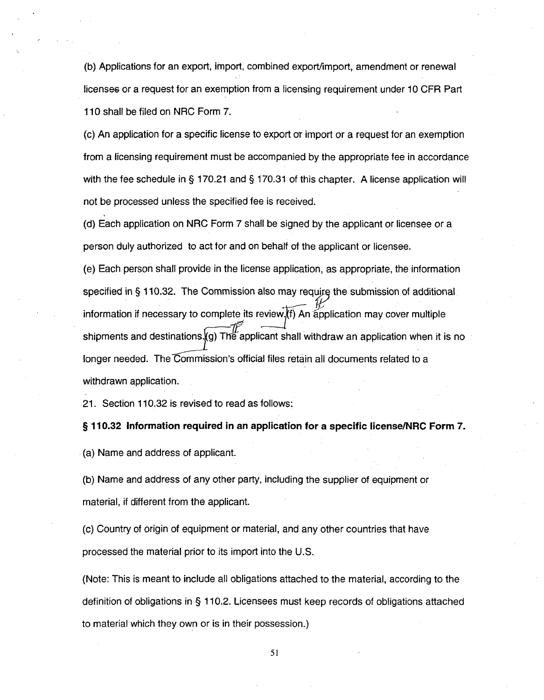(b) Applications for an export, import, combined export/import, amendment or renewal licenses or a request for an exemption from a licensing requirement under 10 CFR Part 110 shall be filed on NRC Form 7.

(c) An application for a specific license to export or import or a request for an exemption from a licensing requirement must be accompanied by the appropriate fee in accordance with the fee schedule in § 170.21 and § 170.31 of this chapter. A license application will not be processed unless the specified fee is received.

(d) Each application on NRC Form 7 shall be signed by the applicant or licensee or a person duly authorized to act for and on behalf of the applicant or licensee.

(e) Each person shall provide in the license application, as appropriate, the information specified in  $\S$  110.32. The Commission also may require the submission of additional information if necessary to complete its review  $f(x)$  An application may cover multiple shipments and destinations. **(g)** The applicant shall withdraw an application when it is no longer needed. The Commission's official files retain all documents related to a withdrawn application.

21. Section 110.32 is revised to read as follows:

§ **110.32** Information required in an application for a specific license/NRC Form **7.**

(a) Name and address of applicant.

**(b)** Name and address of any other party, including the supplier of equipment or material, if different from the applicant.

(c) Country of origin of equipment or material, and any other countries that have processed the material prior to its import into the U.S.

(Note: This is meant to include all obligations attached to the material, according to the definition of obligations in § 110.2. Licensees must keep records of obligations attached to material which they own or is in their possession.)

**51**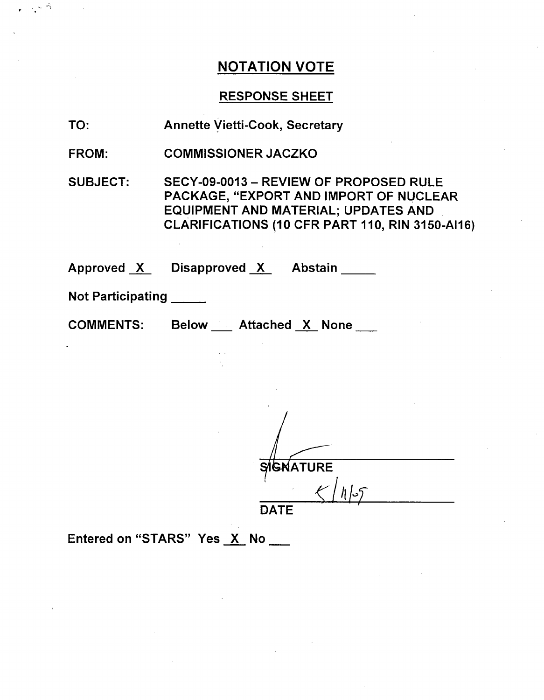### RESPONSE SHEET

- TO: Annette Vietti-Cook, Secretary
- FROM: COMMISSIONER JACZKO

SUBJECT: SECY-09-0013 - REVIEW OF PROPOSED RULE PACKAGE, "EXPORT AND IMPORT OF NUCLEAR EQUIPMENT AND MATERIAL; UPDATES AND CLARIFICATIONS (10 CFR PART 110, RIN 3150-A1l6)

Approved X Disapproved X Abstain

Not Participati ng **\_**

COMMENTS:

Below \_\_ Attached X None \_\_

SIGNATURE  $\zeta/|\eta|$ 5 **DATE** 

Entered on "STARS" Yes X No \_\_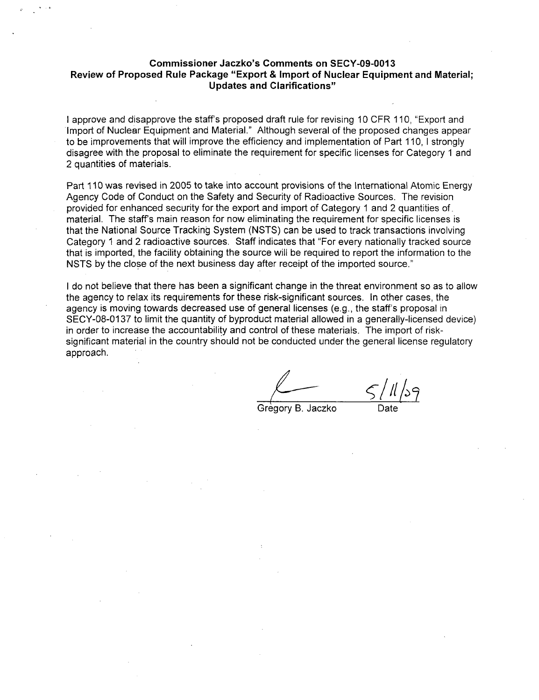#### Commissioner Jaczko's Comments on **SECY-09-0013** Review of Proposed Rule Package "Export **&** Import of Nuclear Equipment and Material; Updates and Clarifications"

I approve and disapprove the staff's proposed draft rule for revising 10 CFR 110, "Export and Import of Nuclear Equipment and Material." Although several of the proposed changes appear to be improvements that will improve the efficiency and implementation of Part 110, **1** strongly disagree with the proposal to eliminate the requirement for specific licenses for Category 1 and 2 quantities of materials.

Part 110 was revised in 2005 to take into account provisions of the International Atomic Energy Agency Code of Conduct on the Safety and Security of Radioactive Sources. The revision provided for enhanced security for the export and import of Category 1 and 2 quantities of material. The staff's main reason for now eliminating the requirement for specific licenses is that the National Source Tracking System (NSTS) can be used to track transactions involving Category 1 and 2 radioactive sources. Staff indicates that "For every nationally tracked source that is imported, the facility obtaining the source will be required to report the information to the NSTS by the close of the next business day after receipt of the imported source."

I do not believe that there has been a significant change in the threat environment so as to allow the agency to relax its requirements for these risk-significant sources. In other cases, the agency is moving towards decreased use of general licenses (e.g., the staff's proposal in SECY-08-0137 to limit the quantity of byproduct material allowed in a generally-licensed device) in order to increase the accountability and control of these materials. The import of risksignificant material in the country should not be conducted under the general license regulatory approach.

*-/Il* **b**

Gregory B. Jaczko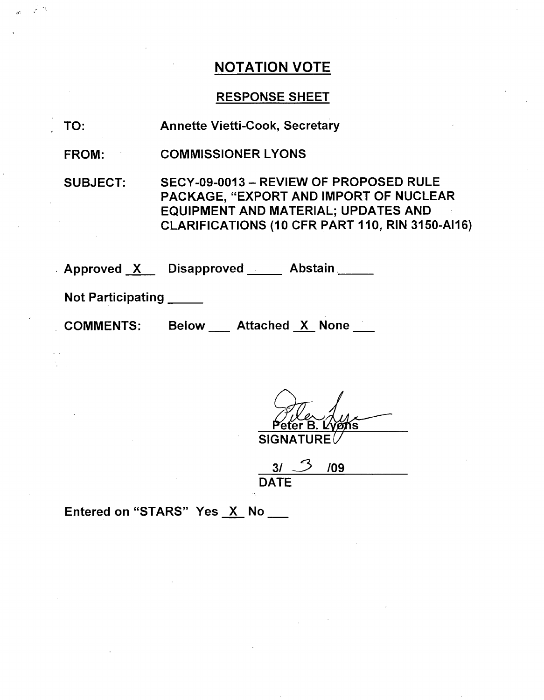## RESPONSE SHEET

- TO: Annette Vietti-Cook, Secretary
- FROM: COMMISSIONER LYONS

SUBJECT: SECY-09-0013 - REVIEW OF PROPOSED RULE PACKAGE, "EXPORT AND IMPORT OF NUCLEAR EQUIPMENT AND MATERIAL; UPDATES AND CLARIFICATIONS (10 CFR PART 110, RIN 3150-Al16)

Approved X Disapproved Abstain

Not Participating **\_**

A-

COMMENTS: Below Attached X None

 $SIGNATURE$ 

<u>১৷</u> **DATE** /09

Entered on "STARS" Yes X No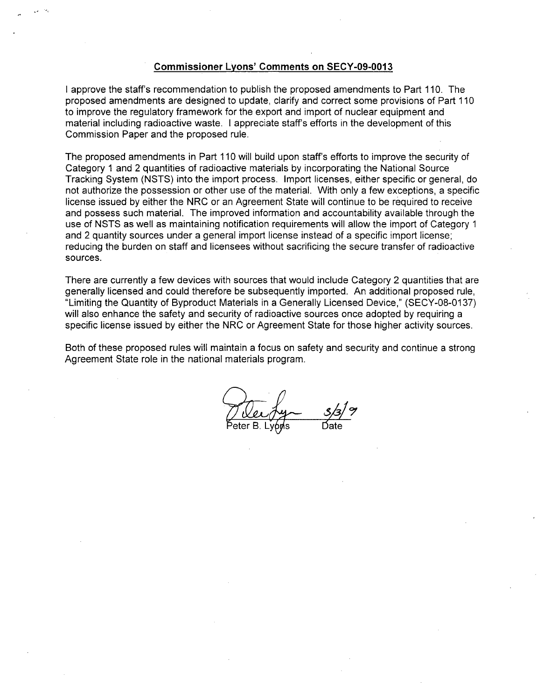#### Commissioner Lyons' Comments on **SECY-09-0013**

I approve the staff's recommendation to publish the proposed amendments to Part 110. The proposed amendments are designed to update, clarify and correct some provisions of Part 110 to improve the regulatory framework for the export and import of nuclear equipment and material including radioactive waste. I appreciate staff's efforts in the development of this Commission Paper and the proposed rule.

The proposed amendments in Part 110 will build upon staff's efforts to improve the security of Category 1 and 2 quantities of radioactive materials by incorporating the National Source Tracking System (NSTS) into the import process. Import licenses, either specific or general, do not authorize the possession or other use of the material. With only a few exceptions, a specific license issued by either the NRC or an Agreement State will continue to be required to receive and possess such material. The improved information and accountability available through the use of NSTS as well as maintaining notification requirements will allow the import of Category 1 and 2 quantity sources under a general import license instead of a specific import license; reducing the burden on staff and licensees without sacrificing the secure transfer of radioactive sources.

There are currently a few devices with sources that would include Category 2 quantities that are generally licensed and could therefore be subsequently imported. An additional proposed rule, "Limiting the Quantity of Byproduct Materials in a Generally Licensed Device," (SECY-08-0137) will also enhance the safety and security of radioactive sources once adopted by requiring a specific license issued by either the NRC or Agreement State for those higher activity sources.

Both of these proposed rules will maintain a focus on safety and security and continue a strong Agreement State role in the national materials program.

Peter B. Lyons Bate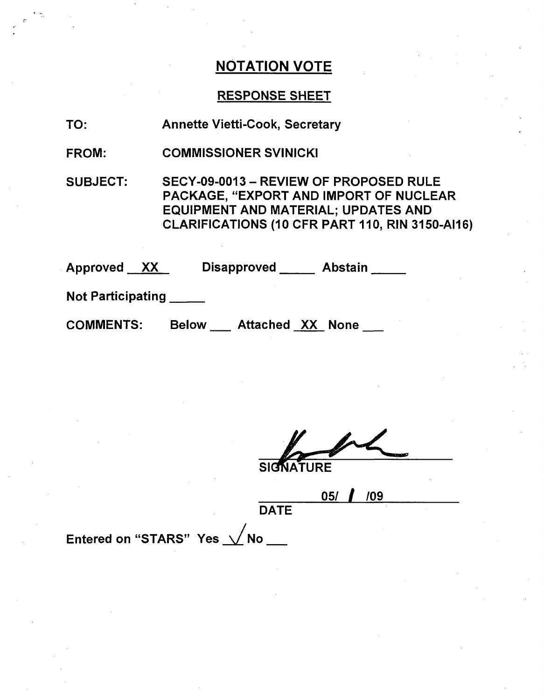## RESPONSE SHEET

| TO: | <b>Annette Vietti-Cook, Secretary</b> |
|-----|---------------------------------------|
|     |                                       |

FROM: COMMISSIONER SVINICKI

SUBJECT: SECY-09-0013 - REVIEW OF PROPOSED RULE PACKAGE, "EXPORT AND IMPORT OF NUCLEAR EQUIPMENT AND MATERIAL; UPDATES AND CLARIFICATIONS (10 CFR PART 110, RIN 3150-Al16)

| Approved XX              | <b>Disapproved</b><br><b>Abstain</b>    |
|--------------------------|-----------------------------------------|
| <b>Not Participating</b> |                                         |
| <b>COMMENTS:</b>         | <b>Attached XX None</b><br><b>Below</b> |

**SIGNATURE** 

**05/ 1 /09**

**DATE** 

Entered on "STARS" Yes  $\sqrt{}$ No $_-$